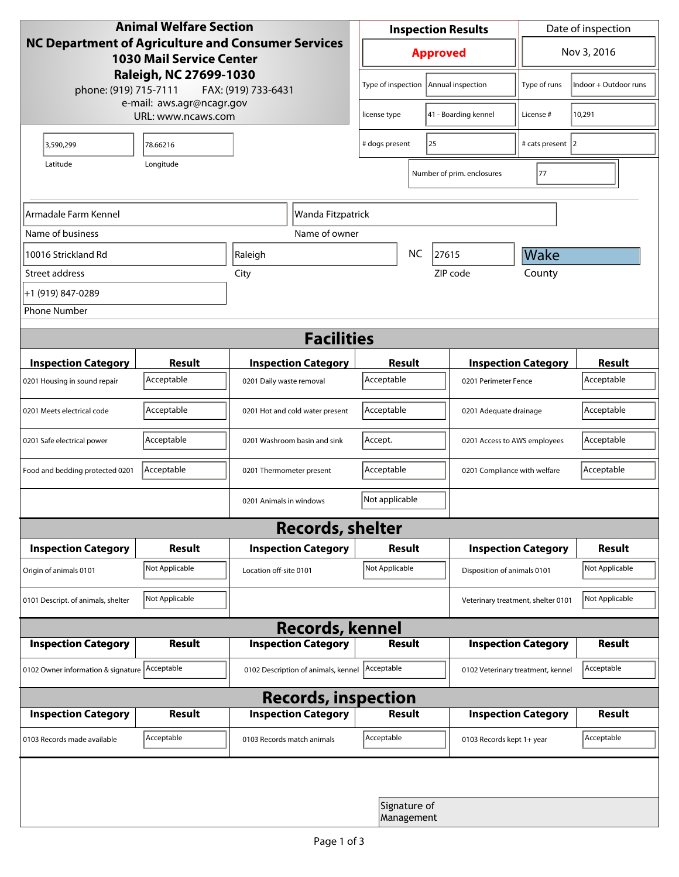| <b>Animal Welfare Section</b><br><b>NC Department of Agriculture and Consumer Services</b><br><b>1030 Mail Service Center</b><br>Raleigh, NC 27699-1030 |                     |                                     | <b>Inspection Results</b>                  |                            |                                    | Date of inspection         |                |  |  |
|---------------------------------------------------------------------------------------------------------------------------------------------------------|---------------------|-------------------------------------|--------------------------------------------|----------------------------|------------------------------------|----------------------------|----------------|--|--|
|                                                                                                                                                         |                     |                                     |                                            | <b>Approved</b>            |                                    |                            | Nov 3, 2016    |  |  |
| phone: (919) 715-7111                                                                                                                                   | FAX: (919) 733-6431 | Type of inspection                  |                                            | Annual inspection          | Type of runs                       | Indoor + Outdoor runs      |                |  |  |
| e-mail: aws.agr@ncagr.gov<br>URL: www.ncaws.com                                                                                                         |                     |                                     | 41 - Boarding kennel<br>license type       |                            | License #                          | 10,291                     |                |  |  |
| 3,590,299                                                                                                                                               | 78.66216            |                                     | 25<br># dogs present                       |                            |                                    | # cats present 2           |                |  |  |
| Latitude                                                                                                                                                | Longitude           |                                     |                                            |                            | Number of prim. enclosures         | 77                         |                |  |  |
| Armadale Farm Kennel<br>Wanda Fitzpatrick                                                                                                               |                     |                                     |                                            |                            |                                    |                            |                |  |  |
| Name of business                                                                                                                                        |                     | Name of owner                       |                                            |                            |                                    |                            |                |  |  |
| 10016 Strickland Rd                                                                                                                                     |                     | Raleigh                             |                                            | NC                         | 27615                              | Wake                       |                |  |  |
| Street address                                                                                                                                          |                     | City                                |                                            |                            | ZIP code                           | County                     |                |  |  |
| +1 (919) 847-0289                                                                                                                                       |                     |                                     |                                            |                            |                                    |                            |                |  |  |
| <b>Phone Number</b>                                                                                                                                     |                     |                                     |                                            |                            |                                    |                            |                |  |  |
| <b>Facilities</b>                                                                                                                                       |                     |                                     |                                            |                            |                                    |                            |                |  |  |
| <b>Inspection Category</b>                                                                                                                              | <b>Result</b>       | <b>Inspection Category</b>          |                                            | Result                     |                                    | <b>Inspection Category</b> | <b>Result</b>  |  |  |
| 0201 Housing in sound repair                                                                                                                            | Acceptable          | 0201 Daily waste removal            | Acceptable                                 |                            | 0201 Perimeter Fence               |                            | Acceptable     |  |  |
| 0201 Meets electrical code                                                                                                                              | Acceptable          | 0201 Hot and cold water present     | Acceptable                                 |                            | 0201 Adequate drainage             |                            | Acceptable     |  |  |
| 0201 Safe electrical power                                                                                                                              | Acceptable          | 0201 Washroom basin and sink        | Accept.<br>0201 Access to AWS employees    |                            |                                    | Acceptable                 |                |  |  |
| Food and bedding protected 0201                                                                                                                         | Acceptable          | 0201 Thermometer present            | Acceptable<br>0201 Compliance with welfare |                            |                                    | Acceptable                 |                |  |  |
|                                                                                                                                                         |                     | 0201 Animals in windows             | Not applicable                             |                            |                                    |                            |                |  |  |
| <b>Records, shelter</b>                                                                                                                                 |                     |                                     |                                            |                            |                                    |                            |                |  |  |
| <b>Inspection Category</b>                                                                                                                              | Result              | <b>Inspection Category</b>          |                                            | Result                     |                                    | <b>Inspection Category</b> | <b>Result</b>  |  |  |
| Origin of animals 0101                                                                                                                                  | Not Applicable      | Location off-site 0101              | Not Applicable                             |                            | Disposition of animals 0101        |                            | Not Applicable |  |  |
| 0101 Descript. of animals, shelter                                                                                                                      | Not Applicable      |                                     |                                            |                            | Veterinary treatment, shelter 0101 |                            | Not Applicable |  |  |
| <b>Records, kennel</b>                                                                                                                                  |                     |                                     |                                            |                            |                                    |                            |                |  |  |
| <b>Inspection Category</b>                                                                                                                              | Result              | <b>Inspection Category</b>          |                                            | <b>Result</b>              |                                    | <b>Inspection Category</b> | Result         |  |  |
| 0102 Owner information & signature Acceptable                                                                                                           |                     | 0102 Description of animals, kennel | Acceptable                                 |                            | 0102 Veterinary treatment, kennel  |                            | Acceptable     |  |  |
| <b>Records, inspection</b>                                                                                                                              |                     |                                     |                                            |                            |                                    |                            |                |  |  |
| <b>Inspection Category</b>                                                                                                                              | <b>Result</b>       | <b>Inspection Category</b>          |                                            | Result                     |                                    | <b>Inspection Category</b> | <b>Result</b>  |  |  |
| 0103 Records made available                                                                                                                             | Acceptable          | 0103 Records match animals          | Acceptable                                 |                            | 0103 Records kept 1+ year          |                            | Acceptable     |  |  |
|                                                                                                                                                         |                     |                                     |                                            |                            |                                    |                            |                |  |  |
|                                                                                                                                                         |                     |                                     |                                            | Signature of<br>Management |                                    |                            |                |  |  |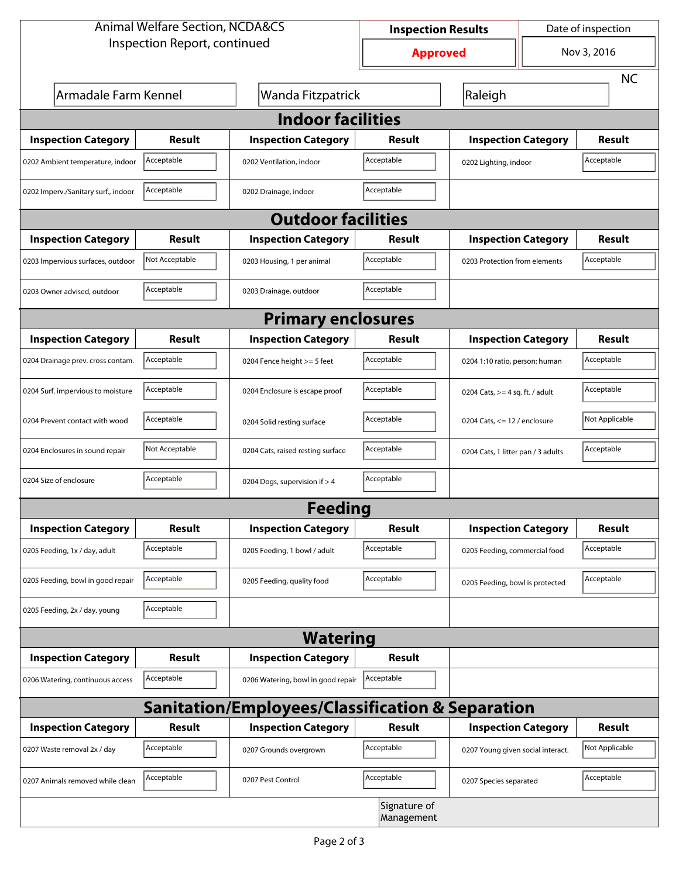| <b>Animal Welfare Section, NCDA&amp;CS</b> |                |                                                             | <b>Inspection Results</b>  |                                     | Date of inspection         |                |  |  |  |
|--------------------------------------------|----------------|-------------------------------------------------------------|----------------------------|-------------------------------------|----------------------------|----------------|--|--|--|
| Inspection Report, continued               |                |                                                             | <b>Approved</b>            |                                     | Nov 3, 2016                |                |  |  |  |
|                                            |                |                                                             |                            |                                     |                            | <b>NC</b>      |  |  |  |
| Armadale Farm Kennel                       |                | Wanda Fitzpatrick                                           |                            | Raleigh                             |                            |                |  |  |  |
| <b>Indoor facilities</b>                   |                |                                                             |                            |                                     |                            |                |  |  |  |
| <b>Inspection Category</b>                 | Result         | <b>Inspection Category</b>                                  | Result                     | <b>Inspection Category</b>          |                            | Result         |  |  |  |
| 0202 Ambient temperature, indoor           | Acceptable     | 0202 Ventilation, indoor                                    | Acceptable                 | Acceptable<br>0202 Lighting, indoor |                            |                |  |  |  |
| 0202 Imperv./Sanitary surf., indoor        | Acceptable     | 0202 Drainage, indoor                                       | Acceptable                 |                                     |                            |                |  |  |  |
|                                            |                | <b>Outdoor facilities</b>                                   |                            |                                     |                            |                |  |  |  |
| <b>Inspection Category</b>                 | Result         | <b>Inspection Category</b>                                  | Result                     | <b>Inspection Category</b>          |                            | Result         |  |  |  |
| 0203 Impervious surfaces, outdoor          | Not Acceptable | 0203 Housing, 1 per animal                                  | Acceptable                 | 0203 Protection from elements       |                            | Acceptable     |  |  |  |
| 0203 Owner advised, outdoor                | Acceptable     | 0203 Drainage, outdoor                                      | Acceptable                 |                                     |                            |                |  |  |  |
|                                            |                | <b>Primary enclosures</b>                                   |                            |                                     |                            |                |  |  |  |
| <b>Inspection Category</b>                 | Result         | <b>Inspection Category</b>                                  | Result                     |                                     | <b>Inspection Category</b> | Result         |  |  |  |
| 0204 Drainage prev. cross contam.          | Acceptable     | 0204 Fence height >= 5 feet                                 | Acceptable                 | 0204 1:10 ratio, person: human      |                            | Acceptable     |  |  |  |
| 0204 Surf. impervious to moisture          | Acceptable     | 0204 Enclosure is escape proof                              | Acceptable                 | 0204 Cats, $>=$ 4 sq. ft. / adult   |                            | Acceptable     |  |  |  |
| 0204 Prevent contact with wood             | Acceptable     | 0204 Solid resting surface                                  | Acceptable                 | 0204 Cats, $<= 12$ / enclosure      |                            | Not Applicable |  |  |  |
| 0204 Enclosures in sound repair            | Not Acceptable | 0204 Cats, raised resting surface                           | Acceptable                 | 0204 Cats, 1 litter pan / 3 adults  |                            | Acceptable     |  |  |  |
| 0204 Size of enclosure                     | Acceptable     | 0204 Dogs, supervision if > 4                               | Acceptable                 |                                     |                            |                |  |  |  |
|                                            |                | <b>Feeding</b>                                              |                            |                                     |                            |                |  |  |  |
| <b>Inspection Category</b>                 | <b>Result</b>  | <b>Inspection Category</b>                                  | <b>Result</b>              |                                     | <b>Inspection Category</b> | <b>Result</b>  |  |  |  |
| 0205 Feeding, 1x / day, adult              | Acceptable     | 0205 Feeding, 1 bowl / adult                                | Acceptable                 | 0205 Feeding, commercial food       |                            | Acceptable     |  |  |  |
| 0205 Feeding, bowl in good repair          | Acceptable     | 0205 Feeding, quality food                                  | Acceptable                 | 0205 Feeding, bowl is protected     |                            | Acceptable     |  |  |  |
| 0205 Feeding, 2x / day, young              | Acceptable     |                                                             |                            |                                     |                            |                |  |  |  |
|                                            |                | <b>Watering</b>                                             |                            |                                     |                            |                |  |  |  |
| <b>Inspection Category</b>                 | <b>Result</b>  | <b>Inspection Category</b>                                  | <b>Result</b>              |                                     |                            |                |  |  |  |
| 0206 Watering, continuous access           | Acceptable     | 0206 Watering, bowl in good repair                          | Acceptable                 |                                     |                            |                |  |  |  |
|                                            |                | <b>Sanitation/Employees/Classification &amp; Separation</b> |                            |                                     |                            |                |  |  |  |
| <b>Inspection Category</b>                 | <b>Result</b>  | <b>Inspection Category</b>                                  | Result                     |                                     | <b>Inspection Category</b> | <b>Result</b>  |  |  |  |
| 0207 Waste removal 2x / day                | Acceptable     | 0207 Grounds overgrown                                      | Acceptable                 | 0207 Young given social interact.   |                            | Not Applicable |  |  |  |
| 0207 Animals removed while clean           | Acceptable     | 0207 Pest Control                                           | Acceptable                 | 0207 Species separated              |                            | Acceptable     |  |  |  |
|                                            |                |                                                             | Signature of<br>Management |                                     |                            |                |  |  |  |